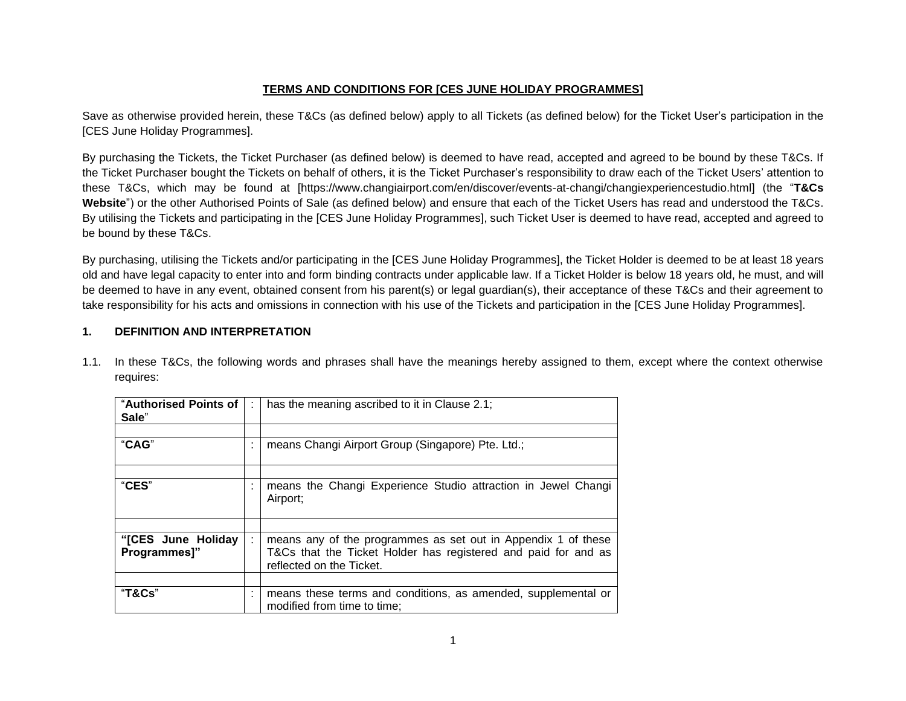# **TERMS AND CONDITIONS FOR [CES JUNE HOLIDAY PROGRAMMES]**

Save as otherwise provided herein, these T&Cs (as defined below) apply to all Tickets (as defined below) for the Ticket User's participation in the [CES June Holiday Programmes].

By purchasing the Tickets, the Ticket Purchaser (as defined below) is deemed to have read, accepted and agreed to be bound by these T&Cs. If the Ticket Purchaser bought the Tickets on behalf of others, it is the Ticket Purchaser's responsibility to draw each of the Ticket Users' attention to these T&Cs, which may be found at [https://www.changiairport.com/en/discover/events-at-changi/changiexperiencestudio.html] (the "**T&Cs Website**") or the other Authorised Points of Sale (as defined below) and ensure that each of the Ticket Users has read and understood the T&Cs. By utilising the Tickets and participating in the [CES June Holiday Programmes], such Ticket User is deemed to have read, accepted and agreed to be bound by these T&Cs.

By purchasing, utilising the Tickets and/or participating in the [CES June Holiday Programmes], the Ticket Holder is deemed to be at least 18 years old and have legal capacity to enter into and form binding contracts under applicable law. If a Ticket Holder is below 18 years old, he must, and will be deemed to have in any event, obtained consent from his parent(s) or legal guardian(s), their acceptance of these T&Cs and their agreement to take responsibility for his acts and omissions in connection with his use of the Tickets and participation in the [CES June Holiday Programmes].

# **1. DEFINITION AND INTERPRETATION**

| "Authorised Points of<br>Sale"     |                     | has the meaning ascribed to it in Clause 2.1;                                                                                                               |
|------------------------------------|---------------------|-------------------------------------------------------------------------------------------------------------------------------------------------------------|
|                                    |                     |                                                                                                                                                             |
| "CAG"                              | ٠<br>×              | means Changi Airport Group (Singapore) Pte. Ltd.;                                                                                                           |
|                                    |                     |                                                                                                                                                             |
| "CES"                              | ٠                   | means the Changi Experience Studio attraction in Jewel Changi<br>Airport;                                                                                   |
|                                    |                     |                                                                                                                                                             |
| "[CES June Holiday<br>Programmes]" |                     | means any of the programmes as set out in Appendix 1 of these<br>T&Cs that the Ticket Holder has registered and paid for and as<br>reflected on the Ticket. |
|                                    |                     |                                                                                                                                                             |
| "T&Cs"                             | ٠<br>$\blacksquare$ | means these terms and conditions, as amended, supplemental or<br>modified from time to time;                                                                |

1.1. In these T&Cs, the following words and phrases shall have the meanings hereby assigned to them, except where the context otherwise requires: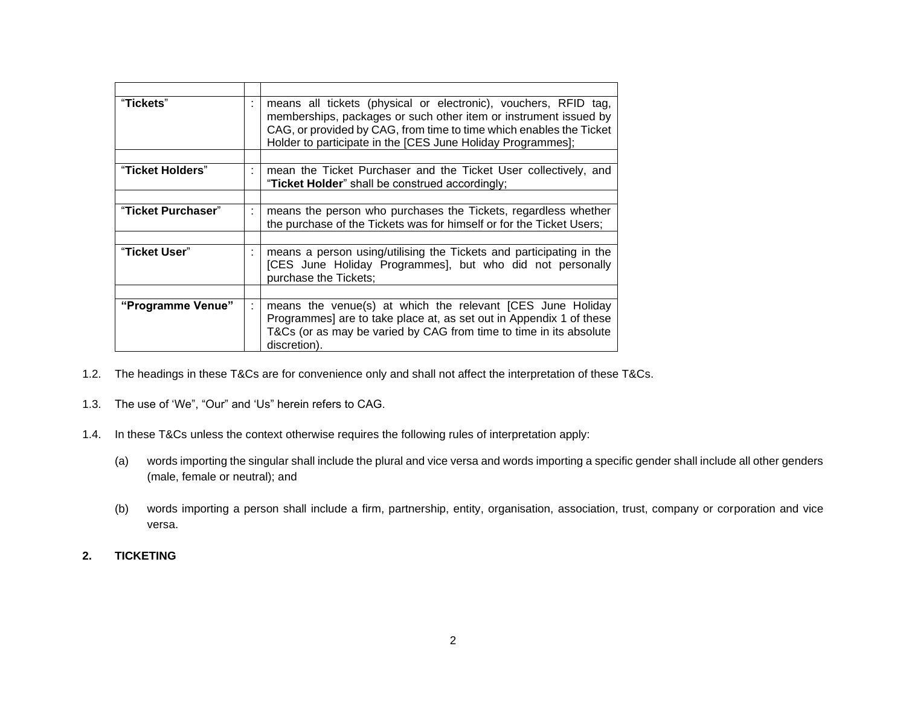| "Tickets"          | ٠       | means all tickets (physical or electronic), vouchers, RFID tag,<br>memberships, packages or such other item or instrument issued by<br>CAG, or provided by CAG, from time to time which enables the Ticket<br>Holder to participate in the [CES June Holiday Programmes]; |
|--------------------|---------|---------------------------------------------------------------------------------------------------------------------------------------------------------------------------------------------------------------------------------------------------------------------------|
|                    |         |                                                                                                                                                                                                                                                                           |
| "Ticket Holders"   | ÷       | mean the Ticket Purchaser and the Ticket User collectively, and<br>"Ticket Holder" shall be construed accordingly;                                                                                                                                                        |
|                    |         |                                                                                                                                                                                                                                                                           |
| "Ticket Purchaser" | ÷       | means the person who purchases the Tickets, regardless whether<br>the purchase of the Tickets was for himself or for the Ticket Users;                                                                                                                                    |
|                    |         |                                                                                                                                                                                                                                                                           |
| "Ticket User"      | $\cdot$ | means a person using/utilising the Tickets and participating in the<br>[CES June Holiday Programmes], but who did not personally<br>purchase the Tickets;                                                                                                                 |
|                    |         |                                                                                                                                                                                                                                                                           |
| "Programme Venue"  | ÷       | means the venue(s) at which the relevant [CES June Holiday<br>Programmes] are to take place at, as set out in Appendix 1 of these<br>T&Cs (or as may be varied by CAG from time to time in its absolute<br>discretion).                                                   |

- 1.2. The headings in these T&Cs are for convenience only and shall not affect the interpretation of these T&Cs.
- 1.3. The use of 'We", "Our" and 'Us" herein refers to CAG.
- 1.4. In these T&Cs unless the context otherwise requires the following rules of interpretation apply:
	- (a) words importing the singular shall include the plural and vice versa and words importing a specific gender shall include all other genders (male, female or neutral); and
	- (b) words importing a person shall include a firm, partnership, entity, organisation, association, trust, company or corporation and vice versa.
- **2. TICKETING**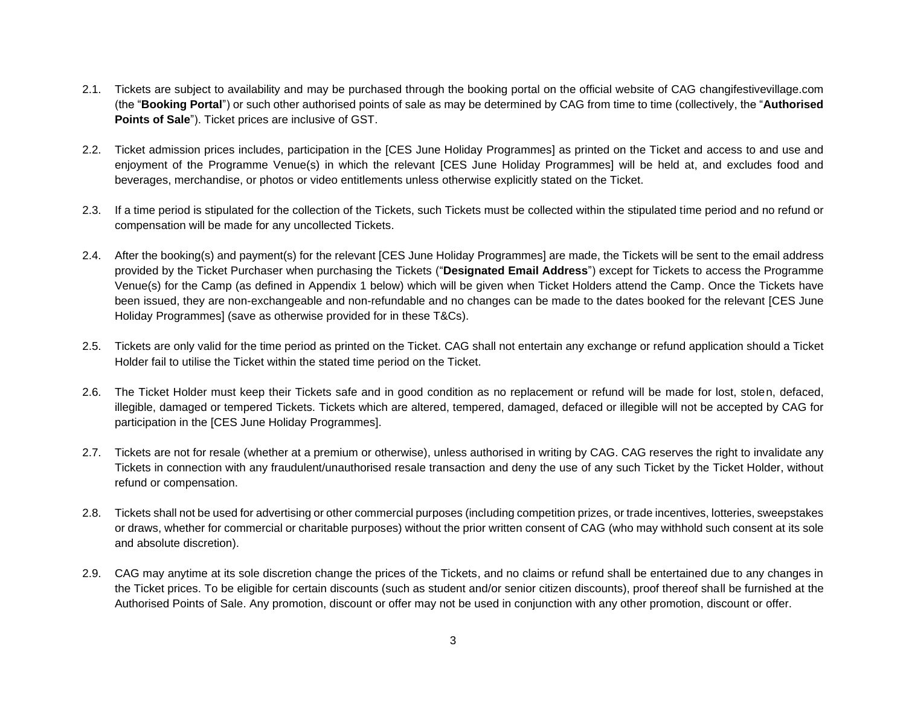- 2.1. Tickets are subject to availability and may be purchased through the booking portal on the official website of CAG changifestivevillage.com (the "**Booking Portal**") or such other authorised points of sale as may be determined by CAG from time to time (collectively, the "**Authorised Points of Sale**"). Ticket prices are inclusive of GST.
- 2.2. Ticket admission prices includes, participation in the [CES June Holiday Programmes] as printed on the Ticket and access to and use and enjoyment of the Programme Venue(s) in which the relevant [CES June Holiday Programmes] will be held at, and excludes food and beverages, merchandise, or photos or video entitlements unless otherwise explicitly stated on the Ticket.
- 2.3. If a time period is stipulated for the collection of the Tickets, such Tickets must be collected within the stipulated time period and no refund or compensation will be made for any uncollected Tickets.
- 2.4. After the booking(s) and payment(s) for the relevant [CES June Holiday Programmes] are made, the Tickets will be sent to the email address provided by the Ticket Purchaser when purchasing the Tickets ("**Designated Email Address**") except for Tickets to access the Programme Venue(s) for the Camp (as defined in Appendix 1 below) which will be given when Ticket Holders attend the Camp. Once the Tickets have been issued, they are non-exchangeable and non-refundable and no changes can be made to the dates booked for the relevant [CES June Holiday Programmes] (save as otherwise provided for in these T&Cs).
- 2.5. Tickets are only valid for the time period as printed on the Ticket. CAG shall not entertain any exchange or refund application should a Ticket Holder fail to utilise the Ticket within the stated time period on the Ticket.
- 2.6. The Ticket Holder must keep their Tickets safe and in good condition as no replacement or refund will be made for lost, stolen, defaced, illegible, damaged or tempered Tickets. Tickets which are altered, tempered, damaged, defaced or illegible will not be accepted by CAG for participation in the [CES June Holiday Programmes].
- 2.7. Tickets are not for resale (whether at a premium or otherwise), unless authorised in writing by CAG. CAG reserves the right to invalidate any Tickets in connection with any fraudulent/unauthorised resale transaction and deny the use of any such Ticket by the Ticket Holder, without refund or compensation.
- 2.8. Tickets shall not be used for advertising or other commercial purposes (including competition prizes, or trade incentives, lotteries, sweepstakes or draws, whether for commercial or charitable purposes) without the prior written consent of CAG (who may withhold such consent at its sole and absolute discretion).
- 2.9. CAG may anytime at its sole discretion change the prices of the Tickets, and no claims or refund shall be entertained due to any changes in the Ticket prices. To be eligible for certain discounts (such as student and/or senior citizen discounts), proof thereof shall be furnished at the Authorised Points of Sale. Any promotion, discount or offer may not be used in conjunction with any other promotion, discount or offer.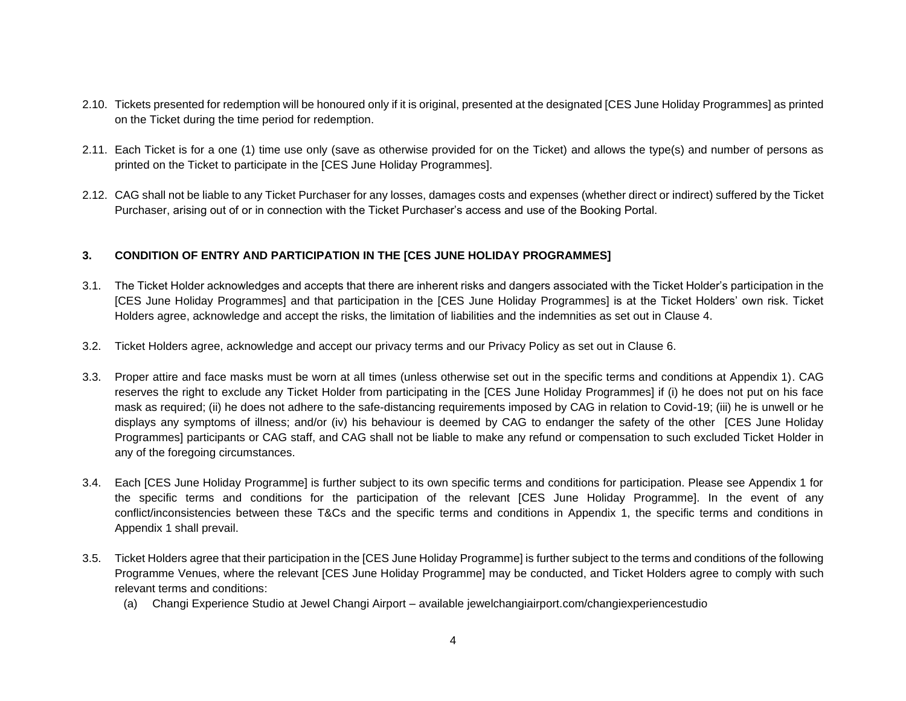- 2.10. Tickets presented for redemption will be honoured only if it is original, presented at the designated [CES June Holiday Programmes] as printed on the Ticket during the time period for redemption.
- 2.11. Each Ticket is for a one (1) time use only (save as otherwise provided for on the Ticket) and allows the type(s) and number of persons as printed on the Ticket to participate in the [CES June Holiday Programmes].
- 2.12. CAG shall not be liable to any Ticket Purchaser for any losses, damages costs and expenses (whether direct or indirect) suffered by the Ticket Purchaser, arising out of or in connection with the Ticket Purchaser's access and use of the Booking Portal.

# **3. CONDITION OF ENTRY AND PARTICIPATION IN THE [CES JUNE HOLIDAY PROGRAMMES]**

- 3.1. The Ticket Holder acknowledges and accepts that there are inherent risks and dangers associated with the Ticket Holder's participation in the [CES June Holiday Programmes] and that participation in the [CES June Holiday Programmes] is at the Ticket Holders' own risk. Ticket Holders agree, acknowledge and accept the risks, the limitation of liabilities and the indemnities as set out in Clause 4.
- 3.2. Ticket Holders agree, acknowledge and accept our privacy terms and our Privacy Policy as set out in Clause 6.
- 3.3. Proper attire and face masks must be worn at all times (unless otherwise set out in the specific terms and conditions at Appendix 1). CAG reserves the right to exclude any Ticket Holder from participating in the [CES June Holiday Programmes] if (i) he does not put on his face mask as required; (ii) he does not adhere to the safe-distancing requirements imposed by CAG in relation to Covid-19; (iii) he is unwell or he displays any symptoms of illness; and/or (iv) his behaviour is deemed by CAG to endanger the safety of the other [CES June Holiday Programmes] participants or CAG staff, and CAG shall not be liable to make any refund or compensation to such excluded Ticket Holder in any of the foregoing circumstances.
- 3.4. Each [CES June Holiday Programme] is further subject to its own specific terms and conditions for participation. Please see Appendix 1 for the specific terms and conditions for the participation of the relevant [CES June Holiday Programme]. In the event of any conflict/inconsistencies between these T&Cs and the specific terms and conditions in Appendix 1, the specific terms and conditions in Appendix 1 shall prevail.
- 3.5. Ticket Holders agree that their participation in the [CES June Holiday Programme] is further subject to the terms and conditions of the following Programme Venues, where the relevant [CES June Holiday Programme] may be conducted, and Ticket Holders agree to comply with such relevant terms and conditions:
	- (a) Changi Experience Studio at Jewel Changi Airport available jewelchangiairport.com/changiexperiencestudio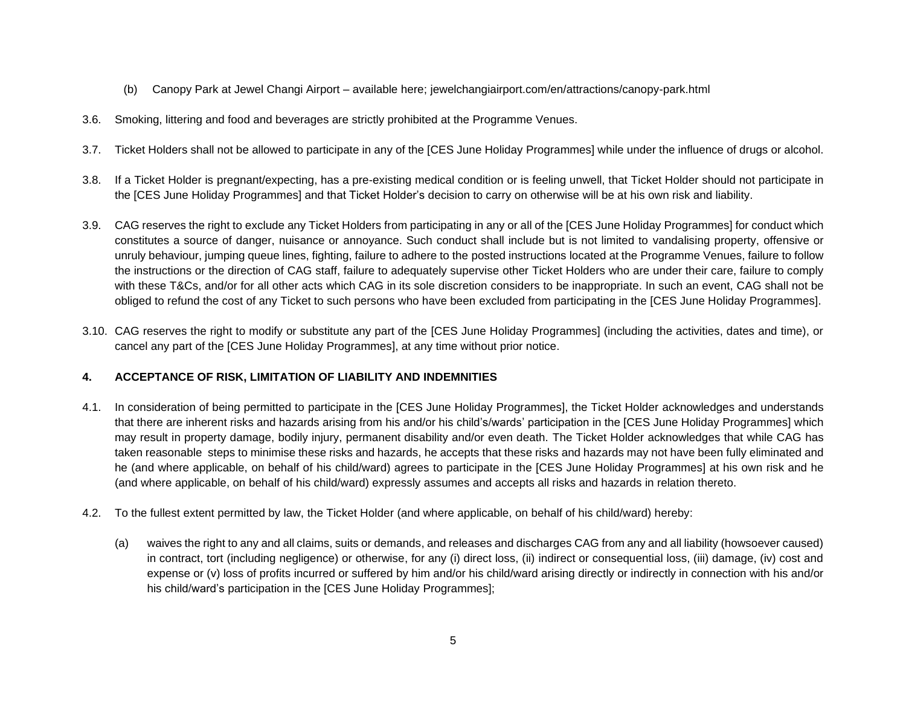- (b) Canopy Park at Jewel Changi Airport available here; jewelchangiairport.com/en/attractions/canopy-park.html
- 3.6. Smoking, littering and food and beverages are strictly prohibited at the Programme Venues.
- 3.7. Ticket Holders shall not be allowed to participate in any of the [CES June Holiday Programmes] while under the influence of drugs or alcohol.
- 3.8. If a Ticket Holder is pregnant/expecting, has a pre-existing medical condition or is feeling unwell, that Ticket Holder should not participate in the [CES June Holiday Programmes] and that Ticket Holder's decision to carry on otherwise will be at his own risk and liability.
- 3.9. CAG reserves the right to exclude any Ticket Holders from participating in any or all of the [CES June Holiday Programmes] for conduct which constitutes a source of danger, nuisance or annoyance. Such conduct shall include but is not limited to vandalising property, offensive or unruly behaviour, jumping queue lines, fighting, failure to adhere to the posted instructions located at the Programme Venues, failure to follow the instructions or the direction of CAG staff, failure to adequately supervise other Ticket Holders who are under their care, failure to comply with these T&Cs, and/or for all other acts which CAG in its sole discretion considers to be inappropriate. In such an event, CAG shall not be obliged to refund the cost of any Ticket to such persons who have been excluded from participating in the [CES June Holiday Programmes].
- 3.10. CAG reserves the right to modify or substitute any part of the [CES June Holiday Programmes] (including the activities, dates and time), or cancel any part of the [CES June Holiday Programmes], at any time without prior notice.

## **4. ACCEPTANCE OF RISK, LIMITATION OF LIABILITY AND INDEMNITIES**

- 4.1. In consideration of being permitted to participate in the [CES June Holiday Programmes], the Ticket Holder acknowledges and understands that there are inherent risks and hazards arising from his and/or his child's/wards' participation in the [CES June Holiday Programmes] which may result in property damage, bodily injury, permanent disability and/or even death. The Ticket Holder acknowledges that while CAG has taken reasonable steps to minimise these risks and hazards, he accepts that these risks and hazards may not have been fully eliminated and he (and where applicable, on behalf of his child/ward) agrees to participate in the [CES June Holiday Programmes] at his own risk and he (and where applicable, on behalf of his child/ward) expressly assumes and accepts all risks and hazards in relation thereto.
- 4.2. To the fullest extent permitted by law, the Ticket Holder (and where applicable, on behalf of his child/ward) hereby:
	- (a) waives the right to any and all claims, suits or demands, and releases and discharges CAG from any and all liability (howsoever caused) in contract, tort (including negligence) or otherwise, for any (i) direct loss, (ii) indirect or consequential loss, (iii) damage, (iv) cost and expense or (v) loss of profits incurred or suffered by him and/or his child/ward arising directly or indirectly in connection with his and/or his child/ward's participation in the [CES June Holiday Programmes];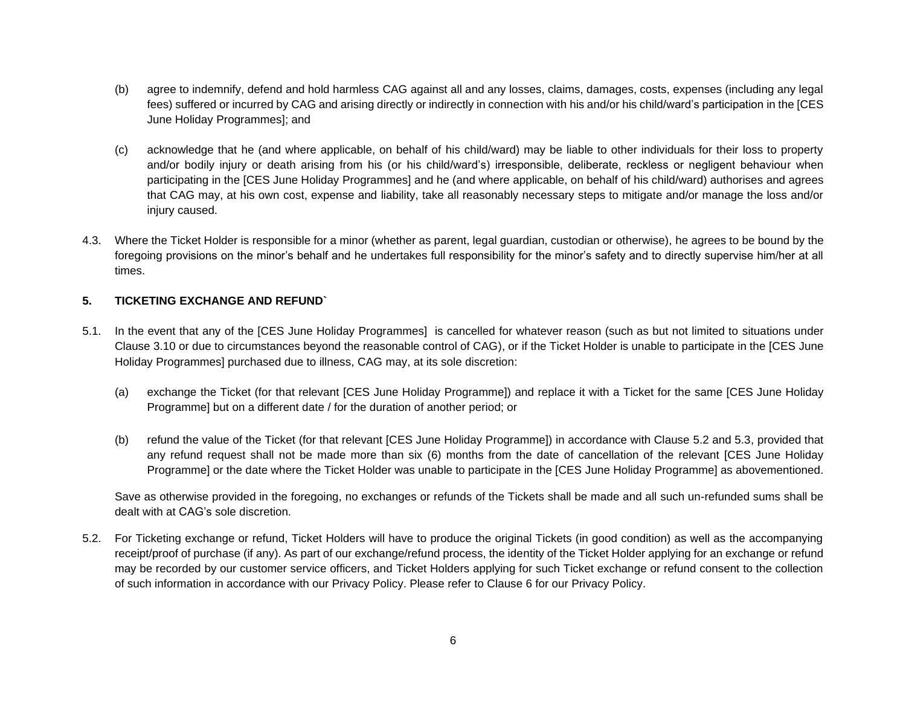- (b) agree to indemnify, defend and hold harmless CAG against all and any losses, claims, damages, costs, expenses (including any legal fees) suffered or incurred by CAG and arising directly or indirectly in connection with his and/or his child/ward's participation in the [CES June Holiday Programmes]; and
- (c) acknowledge that he (and where applicable, on behalf of his child/ward) may be liable to other individuals for their loss to property and/or bodily injury or death arising from his (or his child/ward's) irresponsible, deliberate, reckless or negligent behaviour when participating in the [CES June Holiday Programmes] and he (and where applicable, on behalf of his child/ward) authorises and agrees that CAG may, at his own cost, expense and liability, take all reasonably necessary steps to mitigate and/or manage the loss and/or injury caused.
- 4.3. Where the Ticket Holder is responsible for a minor (whether as parent, legal guardian, custodian or otherwise), he agrees to be bound by the foregoing provisions on the minor's behalf and he undertakes full responsibility for the minor's safety and to directly supervise him/her at all times.

### **5. TICKETING EXCHANGE AND REFUND`**

- 5.1. In the event that any of the [CES June Holiday Programmes] is cancelled for whatever reason (such as but not limited to situations under Clause 3.10 or due to circumstances beyond the reasonable control of CAG), or if the Ticket Holder is unable to participate in the [CES June Holiday Programmes] purchased due to illness, CAG may, at its sole discretion:
	- (a) exchange the Ticket (for that relevant [CES June Holiday Programme]) and replace it with a Ticket for the same [CES June Holiday Programme] but on a different date / for the duration of another period; or
	- (b) refund the value of the Ticket (for that relevant [CES June Holiday Programme]) in accordance with Clause 5.2 and 5.3, provided that any refund request shall not be made more than six (6) months from the date of cancellation of the relevant [CES June Holiday Programme] or the date where the Ticket Holder was unable to participate in the [CES June Holiday Programme] as abovementioned.

Save as otherwise provided in the foregoing, no exchanges or refunds of the Tickets shall be made and all such un-refunded sums shall be dealt with at CAG's sole discretion.

5.2. For Ticketing exchange or refund, Ticket Holders will have to produce the original Tickets (in good condition) as well as the accompanying receipt/proof of purchase (if any). As part of our exchange/refund process, the identity of the Ticket Holder applying for an exchange or refund may be recorded by our customer service officers, and Ticket Holders applying for such Ticket exchange or refund consent to the collection of such information in accordance with our Privacy Policy. Please refer to Clause 6 for our Privacy Policy.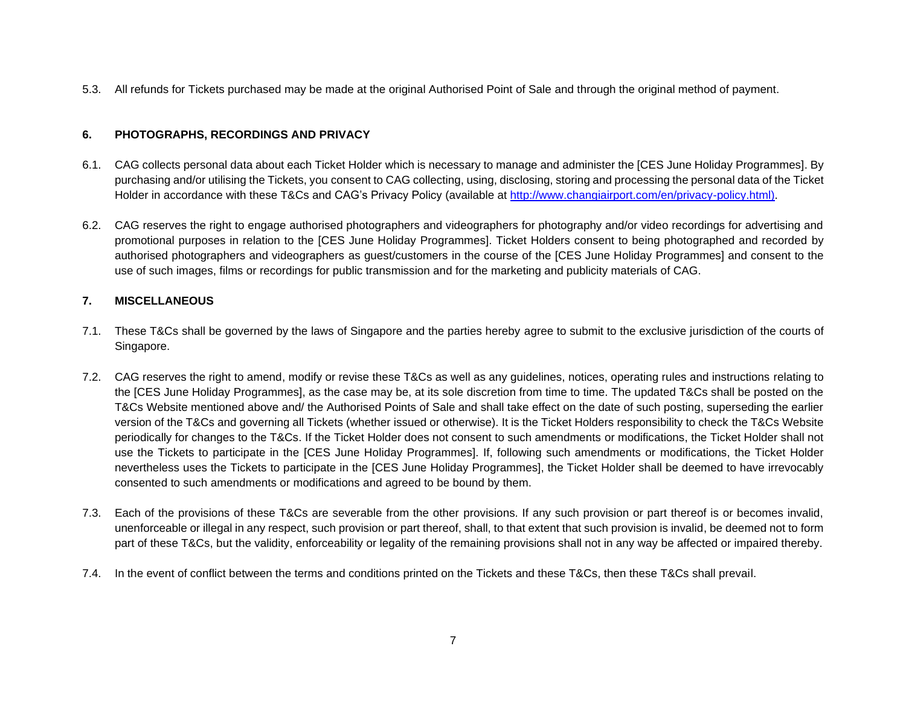5.3. All refunds for Tickets purchased may be made at the original Authorised Point of Sale and through the original method of payment.

# **6. PHOTOGRAPHS, RECORDINGS AND PRIVACY**

- 6.1. CAG collects personal data about each Ticket Holder which is necessary to manage and administer the [CES June Holiday Programmes]. By purchasing and/or utilising the Tickets, you consent to CAG collecting, using, disclosing, storing and processing the personal data of the Ticket Holder in accordance with these T&Cs and CAG's Privacy Policy (available at [http://www.changiairport.com/en/privacy-policy.html\)](http://www.changiairport.com/en/privacy-policy.html).
- 6.2. CAG reserves the right to engage authorised photographers and videographers for photography and/or video recordings for advertising and promotional purposes in relation to the [CES June Holiday Programmes]. Ticket Holders consent to being photographed and recorded by authorised photographers and videographers as guest/customers in the course of the [CES June Holiday Programmes] and consent to the use of such images, films or recordings for public transmission and for the marketing and publicity materials of CAG.

# **7. MISCELLANEOUS**

- 7.1. These T&Cs shall be governed by the laws of Singapore and the parties hereby agree to submit to the exclusive jurisdiction of the courts of Singapore.
- 7.2. CAG reserves the right to amend, modify or revise these T&Cs as well as any guidelines, notices, operating rules and instructions relating to the [CES June Holiday Programmes], as the case may be, at its sole discretion from time to time. The updated T&Cs shall be posted on the T&Cs Website mentioned above and/ the Authorised Points of Sale and shall take effect on the date of such posting, superseding the earlier version of the T&Cs and governing all Tickets (whether issued or otherwise). It is the Ticket Holders responsibility to check the T&Cs Website periodically for changes to the T&Cs. If the Ticket Holder does not consent to such amendments or modifications, the Ticket Holder shall not use the Tickets to participate in the [CES June Holiday Programmes]. If, following such amendments or modifications, the Ticket Holder nevertheless uses the Tickets to participate in the [CES June Holiday Programmes], the Ticket Holder shall be deemed to have irrevocably consented to such amendments or modifications and agreed to be bound by them.
- 7.3. Each of the provisions of these T&Cs are severable from the other provisions. If any such provision or part thereof is or becomes invalid, unenforceable or illegal in any respect, such provision or part thereof, shall, to that extent that such provision is invalid, be deemed not to form part of these T&Cs, but the validity, enforceability or legality of the remaining provisions shall not in any way be affected or impaired thereby.
- 7.4. In the event of conflict between the terms and conditions printed on the Tickets and these T&Cs, then these T&Cs shall prevail.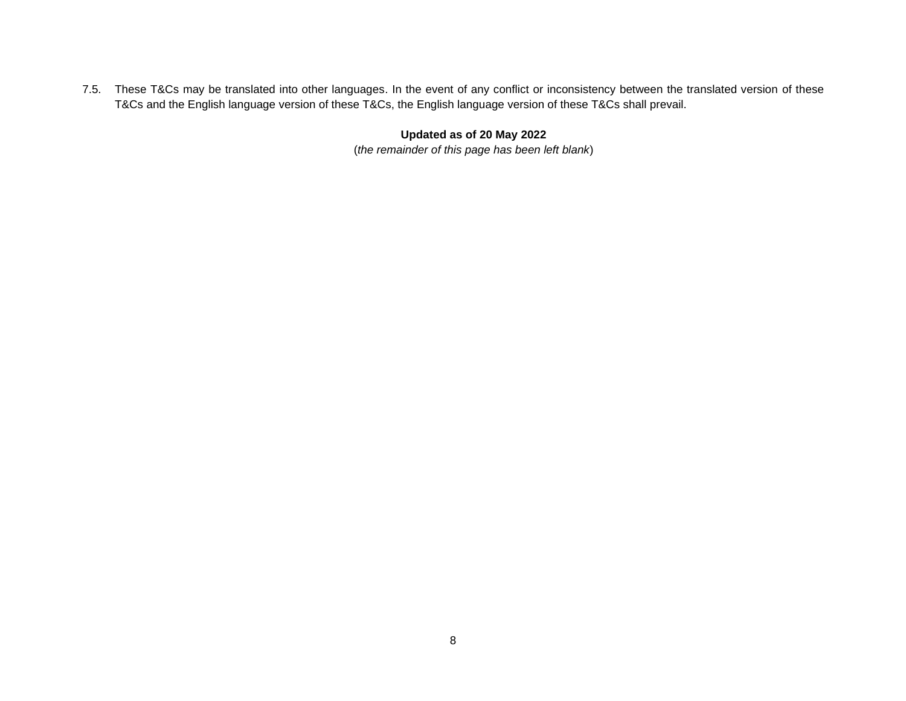7.5. These T&Cs may be translated into other languages. In the event of any conflict or inconsistency between the translated version of these T&Cs and the English language version of these T&Cs, the English language version of these T&Cs shall prevail.

# **Updated as of 20 May 2022**

(*the remainder of this page has been left blank*)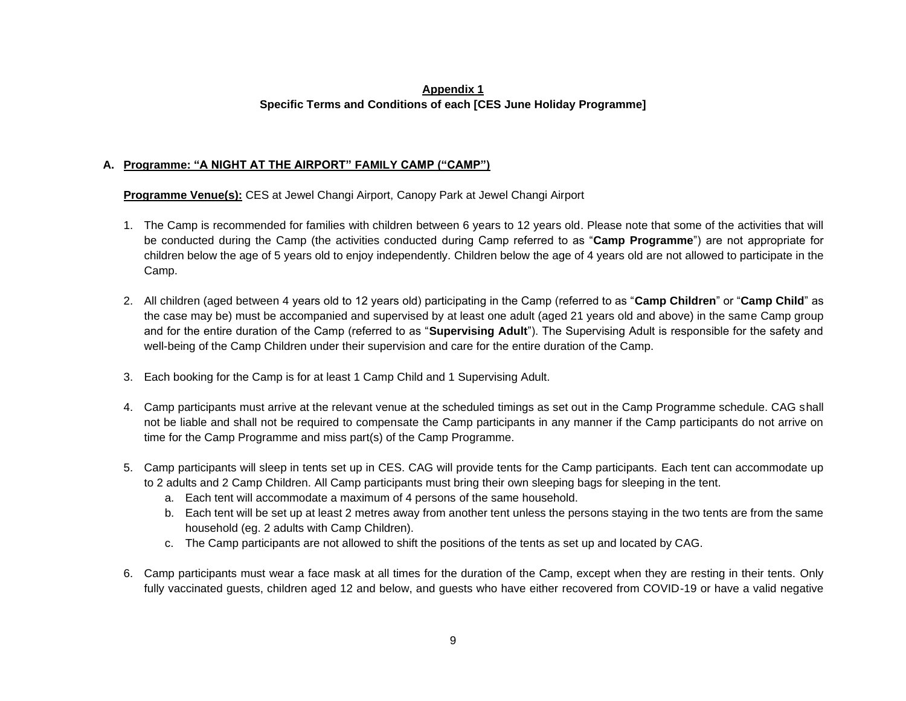## **Appendix 1 Specific Terms and Conditions of each [CES June Holiday Programme]**

## **A. Programme: "A NIGHT AT THE AIRPORT" FAMILY CAMP ("CAMP")**

**Programme Venue(s):** CES at Jewel Changi Airport, Canopy Park at Jewel Changi Airport

- 1. The Camp is recommended for families with children between 6 years to 12 years old. Please note that some of the activities that will be conducted during the Camp (the activities conducted during Camp referred to as "**Camp Programme**") are not appropriate for children below the age of 5 years old to enjoy independently. Children below the age of 4 years old are not allowed to participate in the Camp.
- 2. All children (aged between 4 years old to 12 years old) participating in the Camp (referred to as "**Camp Children**" or "**Camp Child**" as the case may be) must be accompanied and supervised by at least one adult (aged 21 years old and above) in the same Camp group and for the entire duration of the Camp (referred to as "**Supervising Adult**"). The Supervising Adult is responsible for the safety and well-being of the Camp Children under their supervision and care for the entire duration of the Camp.
- 3. Each booking for the Camp is for at least 1 Camp Child and 1 Supervising Adult.
- 4. Camp participants must arrive at the relevant venue at the scheduled timings as set out in the Camp Programme schedule. CAG shall not be liable and shall not be required to compensate the Camp participants in any manner if the Camp participants do not arrive on time for the Camp Programme and miss part(s) of the Camp Programme.
- 5. Camp participants will sleep in tents set up in CES. CAG will provide tents for the Camp participants. Each tent can accommodate up to 2 adults and 2 Camp Children. All Camp participants must bring their own sleeping bags for sleeping in the tent.
	- a. Each tent will accommodate a maximum of 4 persons of the same household.
	- b. Each tent will be set up at least 2 metres away from another tent unless the persons staying in the two tents are from the same household (eg. 2 adults with Camp Children).
	- c. The Camp participants are not allowed to shift the positions of the tents as set up and located by CAG.
- 6. Camp participants must wear a face mask at all times for the duration of the Camp, except when they are resting in their tents. Only fully vaccinated guests, children aged 12 and below, and guests who have either recovered from COVID-19 or have a valid negative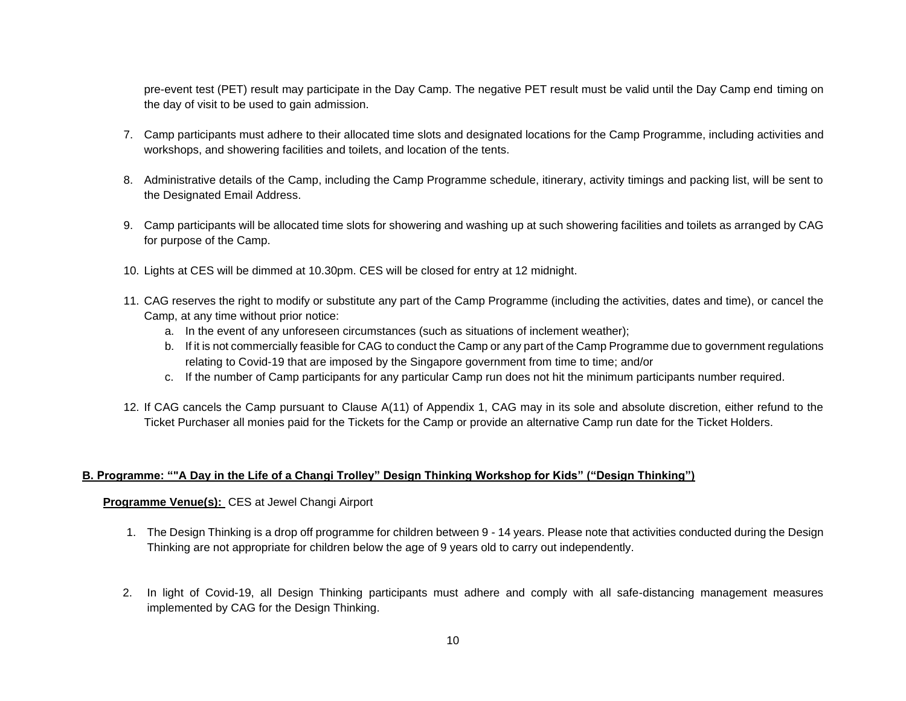pre-event test (PET) result may participate in the Day Camp. The negative PET result must be valid until the Day Camp end timing on the day of visit to be used to gain admission.

- 7. Camp participants must adhere to their allocated time slots and designated locations for the Camp Programme, including activities and workshops, and showering facilities and toilets, and location of the tents.
- 8. Administrative details of the Camp, including the Camp Programme schedule, itinerary, activity timings and packing list, will be sent to the Designated Email Address.
- 9. Camp participants will be allocated time slots for showering and washing up at such showering facilities and toilets as arranged by CAG for purpose of the Camp.
- 10. Lights at CES will be dimmed at 10.30pm. CES will be closed for entry at 12 midnight.
- 11. CAG reserves the right to modify or substitute any part of the Camp Programme (including the activities, dates and time), or cancel the Camp, at any time without prior notice:
	- a. In the event of any unforeseen circumstances (such as situations of inclement weather);
	- b. If it is not commercially feasible for CAG to conduct the Camp or any part of the Camp Programme due to government regulations relating to Covid-19 that are imposed by the Singapore government from time to time; and/or
	- c. If the number of Camp participants for any particular Camp run does not hit the minimum participants number required.
- 12. If CAG cancels the Camp pursuant to Clause A(11) of Appendix 1, CAG may in its sole and absolute discretion, either refund to the Ticket Purchaser all monies paid for the Tickets for the Camp or provide an alternative Camp run date for the Ticket Holders.

### **B. Programme: ""A Day in the Life of a Changi Trolley" Design Thinking Workshop for Kids" ("Design Thinking")**

### **Programme Venue(s):** CES at Jewel Changi Airport

- 1. The Design Thinking is a drop off programme for children between 9 14 years. Please note that activities conducted during the Design Thinking are not appropriate for children below the age of 9 years old to carry out independently.
- 2. In light of Covid-19, all Design Thinking participants must adhere and comply with all safe-distancing management measures implemented by CAG for the Design Thinking.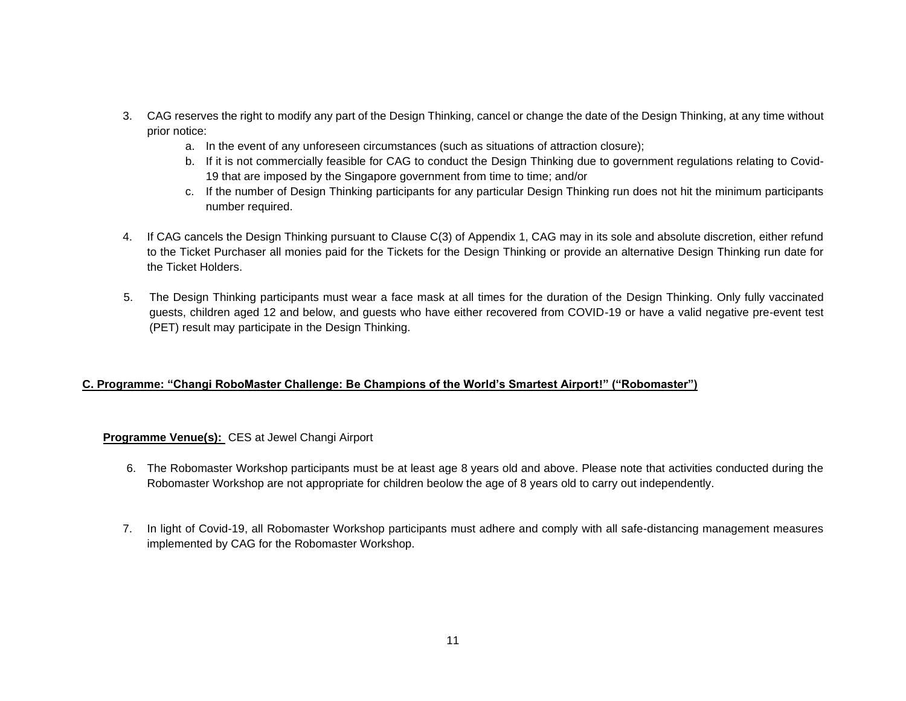- 3. CAG reserves the right to modify any part of the Design Thinking, cancel or change the date of the Design Thinking, at any time without prior notice:
	- a. In the event of any unforeseen circumstances (such as situations of attraction closure);
	- b. If it is not commercially feasible for CAG to conduct the Design Thinking due to government regulations relating to Covid-19 that are imposed by the Singapore government from time to time; and/or
	- c. If the number of Design Thinking participants for any particular Design Thinking run does not hit the minimum participants number required.
- 4. If CAG cancels the Design Thinking pursuant to Clause C(3) of Appendix 1, CAG may in its sole and absolute discretion, either refund to the Ticket Purchaser all monies paid for the Tickets for the Design Thinking or provide an alternative Design Thinking run date for the Ticket Holders.
- 5. The Design Thinking participants must wear a face mask at all times for the duration of the Design Thinking. Only fully vaccinated guests, children aged 12 and below, and guests who have either recovered from COVID-19 or have a valid negative pre-event test (PET) result may participate in the Design Thinking.

## **C. Programme: "Changi RoboMaster Challenge: Be Champions of the World's Smartest Airport!" ("Robomaster")**

## **Programme Venue(s):** CES at Jewel Changi Airport

- 6. The Robomaster Workshop participants must be at least age 8 years old and above. Please note that activities conducted during the Robomaster Workshop are not appropriate for children beolow the age of 8 years old to carry out independently.
- 7. In light of Covid-19, all Robomaster Workshop participants must adhere and comply with all safe-distancing management measures implemented by CAG for the Robomaster Workshop.